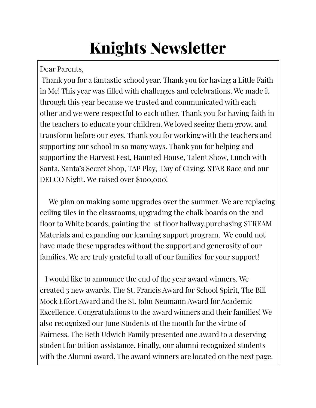# **Knights Newsletter**

Dear Parents,

Thank you for a fantastic school year. Thank you for having a Little Faith in Me! This year was filled with challenges and celebrations. We made it through this year because we trusted and communicated with each other and we were respectful to each other. Thank you for having faith in the teachers to educate your children. We loved seeing them grow, and transform before our eyes. Thank you for working with the teachers and supporting our school in so many ways. Thank you for helping and supporting the Harvest Fest, Haunted House, Talent Show, Lunch with Santa, Santa's Secret Shop, TAP Play, Day of Giving, STAR Race and our DELCO Night. We raised over \$100,000!

We plan on making some upgrades over the summer. We are replacing ceiling tiles in the classrooms, upgrading the chalk boards on the 2nd floor to White boards, painting the 1st floor hallway,purchasing STREAM Materials and expanding our learning support program. We could not have made these upgrades without the support and generosity of our families. We are truly grateful to all of our families' for your support!

I would like to announce the end of the year award winners. We created 3 new awards. The St. Francis Award for School Spirit, The Bill Mock Effort Award and the St. John Neumann Award for Academic Excellence. Congratulations to the award winners and their families! We also recognized our June Students of the month for the virtue of Fairness. The Beth Udwich Family presented one award to a deserving student for tuition assistance. Finally, our alumni recognized students with the Alumni award. The award winners are located on the next page.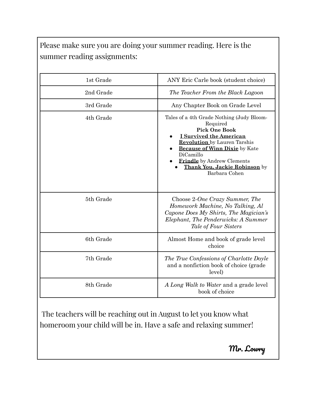Please make sure you are doing your summer reading. Here is the summer reading assignments:

| 1st Grade | ANY Eric Carle book (student choice)                                                                                                                                                                                                                                                               |
|-----------|----------------------------------------------------------------------------------------------------------------------------------------------------------------------------------------------------------------------------------------------------------------------------------------------------|
| 2nd Grade | The Teacher From the Black Lagoon                                                                                                                                                                                                                                                                  |
| 3rd Grade | Any Chapter Book on Grade Level                                                                                                                                                                                                                                                                    |
| 4th Grade | Tales of a 4th Grade Nothing (Judy Bloom-<br>Required<br><b>Pick One Book</b><br><b>I Survived the American</b><br><b>Revolution</b> by Lauren Tarshis<br><b>Because of Winn Dixie</b> by Kate<br>DiCamillo<br><b>Frindle</b> by Andrew Clements<br>Thank You, Jackie Robinson by<br>Barbara Cohen |
| 5th Grade | Choose 2-One Crazy Summer, The<br>Homework Machine, No Talking, Al<br>Capone Does My Shirts, The Magician's<br>Elephant, The Penderwicks: A Summer<br>Tale of Four Sisters                                                                                                                         |
| 6th Grade | Almost Home and book of grade level<br>choice                                                                                                                                                                                                                                                      |
| 7th Grade | The True Confessions of Charlotte Doyle<br>and a nonfiction book of choice (grade<br>level)                                                                                                                                                                                                        |
| 8th Grade | A Long Walk to Water and a grade level<br>book of choice                                                                                                                                                                                                                                           |

The teachers will be reaching out in August to let you know what homeroom your child will be in. Have a safe and relaxing summer!

Mr. Lowry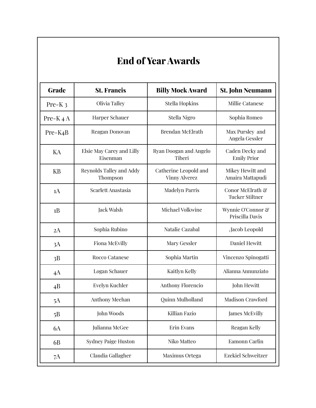## **End of YearAwards**

| <b>Grade</b>         | <b>St. Francis</b>                    | <b>Billy Mock Award</b>                       | <b>St. John Neumann</b>                    |
|----------------------|---------------------------------------|-----------------------------------------------|--------------------------------------------|
| Pre-K <sub>3</sub>   | Olivia Talley                         | <b>Stella Hopkins</b>                         | Millie Catanese                            |
| Pre-K $4A$           | Harper Schauer                        | Stella Nigro                                  | Sophia Romeo                               |
| Pre-K <sub>4</sub> B | Reagan Donovan                        | <b>Brendan McElrath</b>                       | Max Pursley and<br>Angela Gessler          |
| KA                   | Elsie May Carey and Lilly<br>Eisenman | Ryan Doogan and Angelo<br>Tiberi              | Caden Decky and<br><b>Emily Prior</b>      |
| <b>KB</b>            | Reynolds Talley and Addy<br>Thompson  | Catherine Leopold and<br><b>Vinny Alverez</b> | Mikey Hewitt and<br>Amaira Mattapudi       |
| 1A                   | Scarlett Anastasia                    | <b>Madelyn Parris</b>                         | Conor McElrath &<br><b>Tucker Stiltner</b> |
| 1B                   | Jack Walsh                            | Michael Volkwine                              | Wynnie O'Connor &<br>Priscilla Davis       |
| 2A                   | Sophia Rubino                         | Natalie Cazabal                               | ,Jacob Leopold                             |
| 3A                   | <b>Fiona McEvilly</b>                 | Mary Gessler                                  | Daniel Hewitt                              |
| 3B                   | Rocco Catanese                        | Sophia Martin                                 | Vincenzo Spinogatti                        |
| 4A                   | Logan Schauer                         | Kaitlyn Kelly                                 | Alianna Annunziato                         |
| 4B                   | Evelyn Kuchler                        | Anthony Florencio                             | John Hewitt                                |
| 5A                   | Anthony Meehan                        | Quinn Mulholland                              | Madison Crawford                           |
| 5B                   | John Woods                            | Killian Fazio                                 | James McEvilly                             |
| 6A                   | Julianna McGee                        | Erin Evans                                    | Reagan Kelly                               |
| 6B                   | <b>Sydney Paige Huston</b>            | Niko Matteo                                   | Eamonn Carlin                              |
| 7A                   | Claudia Gallagher                     | Maximus Ortega                                | <b>Ezekiel Schweitzer</b>                  |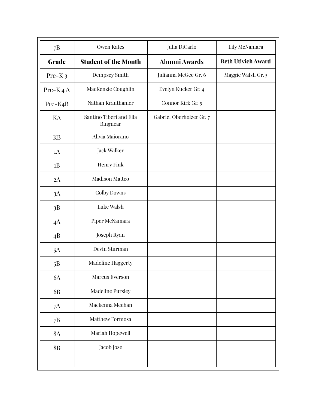| 7B                   | <b>Owen Kates</b>                   | Julia DiCarlo            | Lily McNamara             |
|----------------------|-------------------------------------|--------------------------|---------------------------|
| <b>Grade</b>         | <b>Student of the Month</b>         | <b>Alumni Awards</b>     | <b>Beth Utivich Award</b> |
| Pre-K <sub>3</sub>   | Dempsey Smith                       | Julianna McGee Gr. 6     | Maggie Walsh Gr. 5        |
| Pre-K $4A$           | MacKenzie Coughlin                  | Evelyn Kucker Gr. 4      |                           |
| Pre-K <sub>4</sub> B | Nathan Krauthamer                   | Connor Kirk Gr. 5        |                           |
| KA                   | Santino Tiberi and Ella<br>Bingnear | Gabriel Oberholzer Gr. 7 |                           |
| <b>KB</b>            | Alivia Maiorano                     |                          |                           |
| 1A                   | Jack Walker                         |                          |                           |
| 1B                   | Henry Fink                          |                          |                           |
| 2A                   | <b>Madison Matteo</b>               |                          |                           |
| 3A                   | Colby Downs                         |                          |                           |
| 3B                   | Luke Walsh                          |                          |                           |
| 4A                   | Piper McNamara                      |                          |                           |
| 4B                   | Joseph Ryan                         |                          |                           |
| 5A                   | Devin Sturman                       |                          |                           |
| 5B                   | Madeline Haggerty                   |                          |                           |
| $6A$                 | Marcus Everson                      |                          |                           |
| 6B                   | <b>Madeline Pursley</b>             |                          |                           |
| 7A                   | Mackenna Meehan                     |                          |                           |
| 7B                   | Matthew Formosa                     |                          |                           |
| $8\mathrm{A}$        | Mariah Hopewell                     |                          |                           |
| <b>8B</b>            | Jacob Jose                          |                          |                           |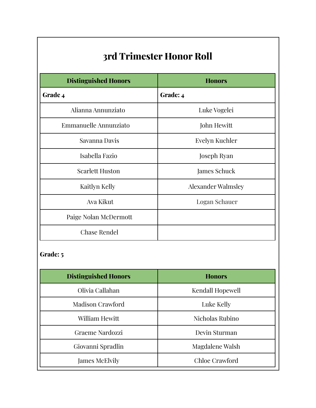| 3rd Trimester Honor Roll    |                           |  |
|-----------------------------|---------------------------|--|
| <b>Distinguished Honors</b> | <b>Honors</b>             |  |
| Grade 4                     | Grade: 4                  |  |
| Alianna Annunziato          | Luke Vogelei              |  |
| Emmanuelle Annunziato       | John Hewitt               |  |
| Savanna Davis               | Evelyn Kuchler            |  |
| Isabella Fazio              | Joseph Ryan               |  |
| <b>Scarlett Huston</b>      | James Schuck              |  |
| Kaitlyn Kelly               | <b>Alexander Walmsley</b> |  |
| Ava Kikut                   | Logan Schauer             |  |
| Paige Nolan McDermott       |                           |  |
| <b>Chase Rendel</b>         |                           |  |

| <b>Distinguished Honors</b> | <b>Honors</b>    |
|-----------------------------|------------------|
| Olivia Callahan             | Kendall Hopewell |
| <b>Madison Crawford</b>     | Luke Kelly       |
| William Hewitt              | Nicholas Rubino  |
| Graeme Nardozzi             | Devin Sturman    |
| Giovanni Spradlin           | Magdalene Walsh  |
| James McElvily              | Chloe Crawford   |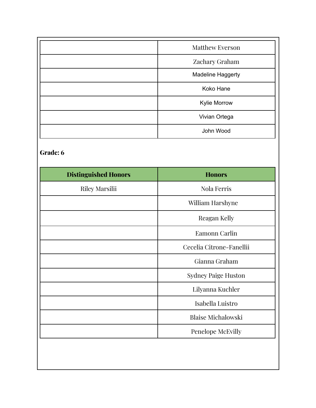| <b>Matthew Everson</b>   |
|--------------------------|
| Zachary Graham           |
| <b>Madeline Haggerty</b> |
| Koko Hane                |
| Kylie Morrow             |
| Vivian Ortega            |
| John Wood                |

| <b>Distinguished Honors</b> | <b>Honors</b>              |
|-----------------------------|----------------------------|
| <b>Riley Marsilii</b>       | <b>Nola Ferris</b>         |
|                             | William Harshyne           |
|                             | Reagan Kelly               |
|                             | Eamonn Carlin              |
|                             | Cecelia Citrone-Fanellii   |
|                             | Gianna Graham              |
|                             | <b>Sydney Paige Huston</b> |
|                             | Lilyanna Kuchler           |
|                             | Isabella Luistro           |
|                             | <b>Blaise Michalowski</b>  |
|                             | Penelope McEvilly          |
|                             |                            |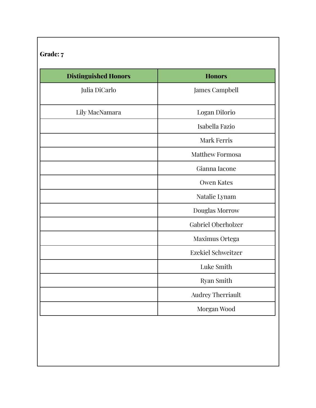| <b>Distinguished Honors</b> | <b>Honors</b>             |
|-----------------------------|---------------------------|
| Julia DiCarlo               | James Campbell            |
| Lily MacNamara              | Logan Dilorio             |
|                             | Isabella Fazio            |
|                             | <b>Mark Ferris</b>        |
|                             | <b>Matthew Formosa</b>    |
|                             | Gianna Iacone             |
|                             | <b>Owen Kates</b>         |
|                             | Natalie Lynam             |
|                             | Douglas Morrow            |
|                             | <b>Gabriel Oberholzer</b> |
|                             | Maximus Ortega            |
|                             | <b>Ezekiel Schweitzer</b> |
|                             | Luke Smith                |
|                             | Ryan Smith                |
|                             | Audrey Therriault         |
|                             | Morgan Wood               |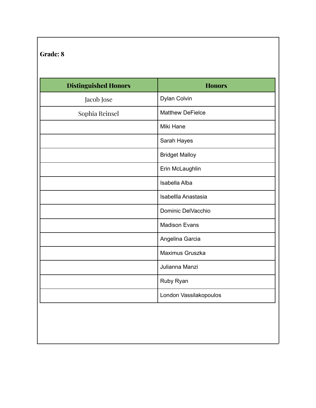| <b>Distinguished Honors</b> | <b>Honors</b>           |
|-----------------------------|-------------------------|
| Jacob Jose                  | Dylan Colvin            |
| Sophia Reinsel              | <b>Matthew DeFielce</b> |
|                             | Miki Hane               |
|                             | Sarah Hayes             |
|                             | <b>Bridget Malloy</b>   |
|                             | Erin McLaughlin         |
|                             | Isabella Alba           |
|                             | Isabellla Anastasia     |
|                             | Dominic DelVacchio      |
|                             | <b>Madison Evans</b>    |
|                             | Angelina Garcia         |
|                             | Maximus Gruszka         |
|                             | Julianna Manzi          |
|                             | Ruby Ryan               |
|                             | London Vassilakopoulos  |
|                             |                         |
|                             |                         |